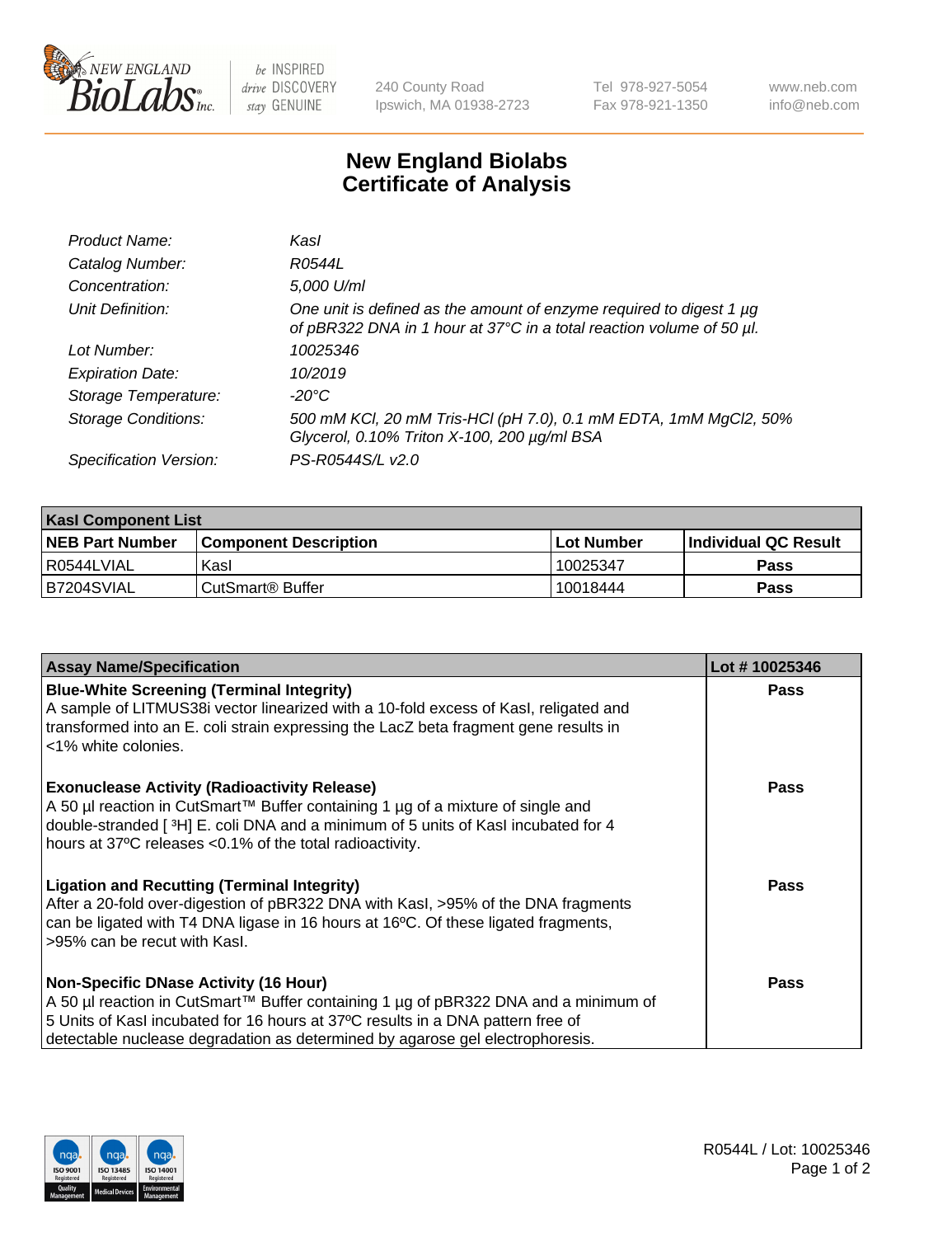

be INSPIRED drive DISCOVERY stay GENUINE

240 County Road Ipswich, MA 01938-2723 Tel 978-927-5054 Fax 978-921-1350

www.neb.com info@neb.com

## **New England Biolabs Certificate of Analysis**

| Product Name:              | Kasl                                                                                                                                             |
|----------------------------|--------------------------------------------------------------------------------------------------------------------------------------------------|
| Catalog Number:            | R0544L                                                                                                                                           |
| Concentration:             | 5,000 U/ml                                                                                                                                       |
| Unit Definition:           | One unit is defined as the amount of enzyme required to digest 1 $\mu$ g<br>of pBR322 DNA in 1 hour at 37°C in a total reaction volume of 50 µl. |
| Lot Number:                | 10025346                                                                                                                                         |
| <b>Expiration Date:</b>    | 10/2019                                                                                                                                          |
| Storage Temperature:       | -20°C                                                                                                                                            |
| <b>Storage Conditions:</b> | 500 mM KCl, 20 mM Tris-HCl (pH 7.0), 0.1 mM EDTA, 1mM MgCl2, 50%<br>Glycerol, 0.10% Triton X-100, 200 µg/ml BSA                                  |
| Specification Version:     | PS-R0544S/L v2.0                                                                                                                                 |

| <b>Kasl Component List</b> |                              |                   |                             |  |  |
|----------------------------|------------------------------|-------------------|-----------------------------|--|--|
| <b>NEB Part Number</b>     | <b>Component Description</b> | <b>Lot Number</b> | <b>Individual QC Result</b> |  |  |
| I R0544LVIAL               | Kasl                         | 10025347          | <b>Pass</b>                 |  |  |
| B7204SVIAL                 | l CutSmart® Buffer           | 10018444          | Pass                        |  |  |

| <b>Assay Name/Specification</b>                                                                                                                                                                                                                                                                         | Lot #10025346 |
|---------------------------------------------------------------------------------------------------------------------------------------------------------------------------------------------------------------------------------------------------------------------------------------------------------|---------------|
| <b>Blue-White Screening (Terminal Integrity)</b><br>A sample of LITMUS38i vector linearized with a 10-fold excess of Kasl, religated and<br>transformed into an E. coli strain expressing the LacZ beta fragment gene results in<br><1% white colonies.                                                 | <b>Pass</b>   |
| <b>Exonuclease Activity (Radioactivity Release)</b><br>A 50 µl reaction in CutSmart™ Buffer containing 1 µg of a mixture of single and<br>double-stranded [3H] E. coli DNA and a minimum of 5 units of Kasl incubated for 4<br>hours at 37°C releases <0.1% of the total radioactivity.                 | <b>Pass</b>   |
| <b>Ligation and Recutting (Terminal Integrity)</b><br>After a 20-fold over-digestion of pBR322 DNA with Kasl, >95% of the DNA fragments<br>can be ligated with T4 DNA ligase in 16 hours at 16°C. Of these ligated fragments,<br>>95% can be recut with Kasl.                                           | <b>Pass</b>   |
| <b>Non-Specific DNase Activity (16 Hour)</b><br>A 50 µl reaction in CutSmart™ Buffer containing 1 µg of pBR322 DNA and a minimum of<br>5 Units of Kasl incubated for 16 hours at 37°C results in a DNA pattern free of<br>detectable nuclease degradation as determined by agarose gel electrophoresis. | Pass          |